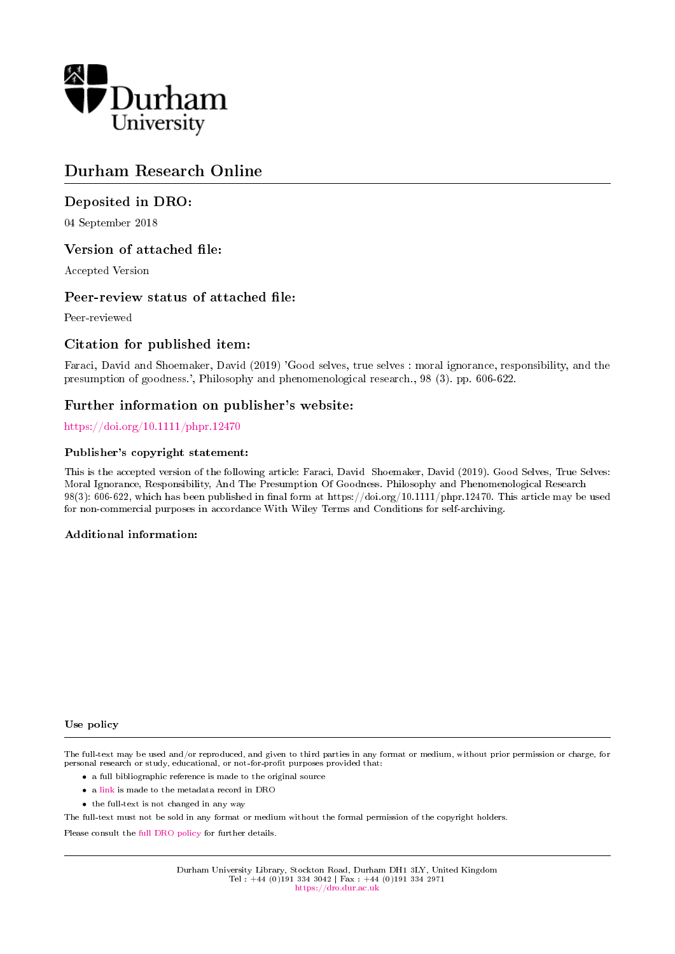

# Durham Research Online

# Deposited in DRO:

04 September 2018

# Version of attached file:

Accepted Version

# Peer-review status of attached file:

Peer-reviewed

# Citation for published item:

Faraci, David and Shoemaker, David (2019) 'Good selves, true selves : moral ignorance, responsibility, and the presumption of goodness.', Philosophy and phenomenological research., 98 (3). pp. 606-622.

# Further information on publisher's website:

### <https://doi.org/10.1111/phpr.12470>

#### Publisher's copyright statement:

This is the accepted version of the following article: Faraci, David Shoemaker, David (2019). Good Selves, True Selves: Moral Ignorance, Responsibility, And The Presumption Of Goodness. Philosophy and Phenomenological Research 98(3): 606-622, which has been published in final form at https://doi.org/10.1111/phpr.12470. This article may be used for non-commercial purposes in accordance With Wiley Terms and Conditions for self-archiving.

### Additional information:

#### Use policy

The full-text may be used and/or reproduced, and given to third parties in any format or medium, without prior permission or charge, for personal research or study, educational, or not-for-profit purposes provided that:

- a full bibliographic reference is made to the original source
- a [link](http://dro.dur.ac.uk/26074/) is made to the metadata record in DRO
- the full-text is not changed in any way

The full-text must not be sold in any format or medium without the formal permission of the copyright holders.

Please consult the [full DRO policy](https://dro.dur.ac.uk/policies/usepolicy.pdf) for further details.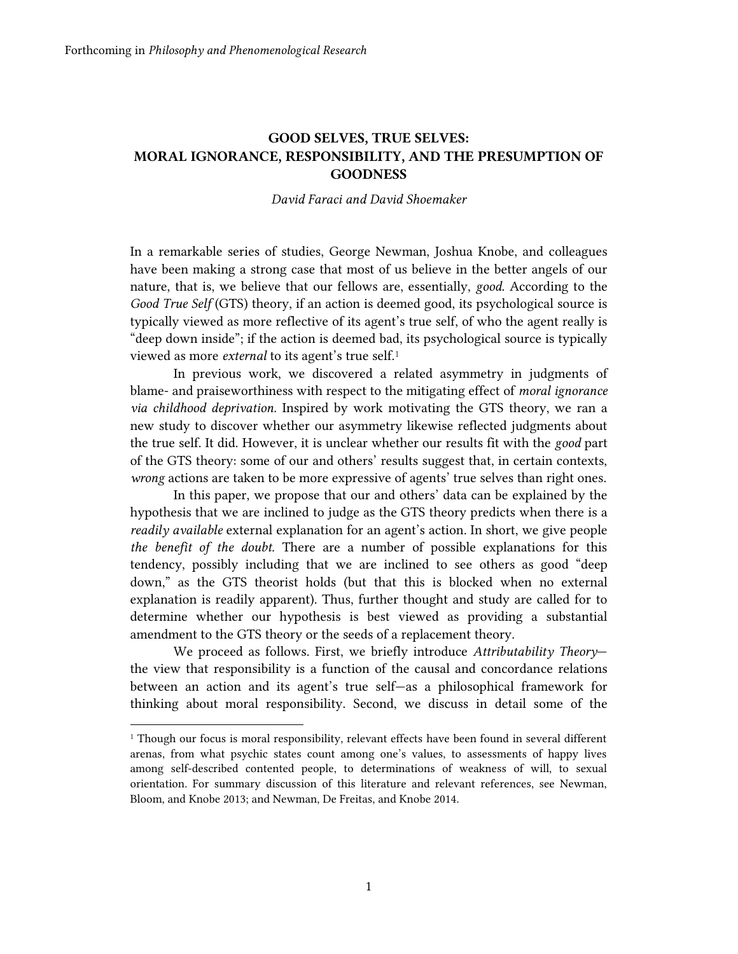$\overline{a}$ 

# **GOOD SELVES, TRUE SELVES: MORAL IGNORANCE, RESPONSIBILITY, AND THE PRESUMPTION OF GOODNESS**

*David Faraci and David Shoemaker*

In a remarkable series of studies, George Newman, Joshua Knobe, and colleagues have been making a strong case that most of us believe in the better angels of our nature, that is, we believe that our fellows are, essentially, *good*. According to the *Good True Self* (GTS) theory, if an action is deemed good, its psychological source is typically viewed as more reflective of its agent's true self, of who the agent really is "deep down inside"; if the action is deemed bad, its psychological source is typically viewed as more *external* to its agent's true self.<sup>1</sup>

In previous work, we discovered a related asymmetry in judgments of blame- and praiseworthiness with respect to the mitigating effect of *moral ignorance via childhood deprivation*. Inspired by work motivating the GTS theory, we ran a new study to discover whether our asymmetry likewise reflected judgments about the true self. It did. However, it is unclear whether our results fit with the *good* part of the GTS theory: some of our and others' results suggest that, in certain contexts, *wrong* actions are taken to be more expressive of agents' true selves than right ones.

In this paper, we propose that our and others' data can be explained by the hypothesis that we are inclined to judge as the GTS theory predicts when there is a *readily available* external explanation for an agent's action*.* In short, we give people *the benefit of the doubt.* There are a number of possible explanations for this tendency, possibly including that we are inclined to see others as good "deep down," as the GTS theorist holds (but that this is blocked when no external explanation is readily apparent). Thus, further thought and study are called for to determine whether our hypothesis is best viewed as providing a substantial amendment to the GTS theory or the seeds of a replacement theory.

We proceed as follows. First, we briefly introduce *Attributability Theory* the view that responsibility is a function of the causal and concordance relations between an action and its agent's true self—as a philosophical framework for thinking about moral responsibility. Second, we discuss in detail some of the

<sup>1</sup> Though our focus is moral responsibility, relevant effects have been found in several different arenas, from what psychic states count among one's values, to assessments of happy lives among self-described contented people, to determinations of weakness of will, to sexual orientation. For summary discussion of this literature and relevant references, see Newman, Bloom, and Knobe 2013; and Newman, De Freitas, and Knobe 2014.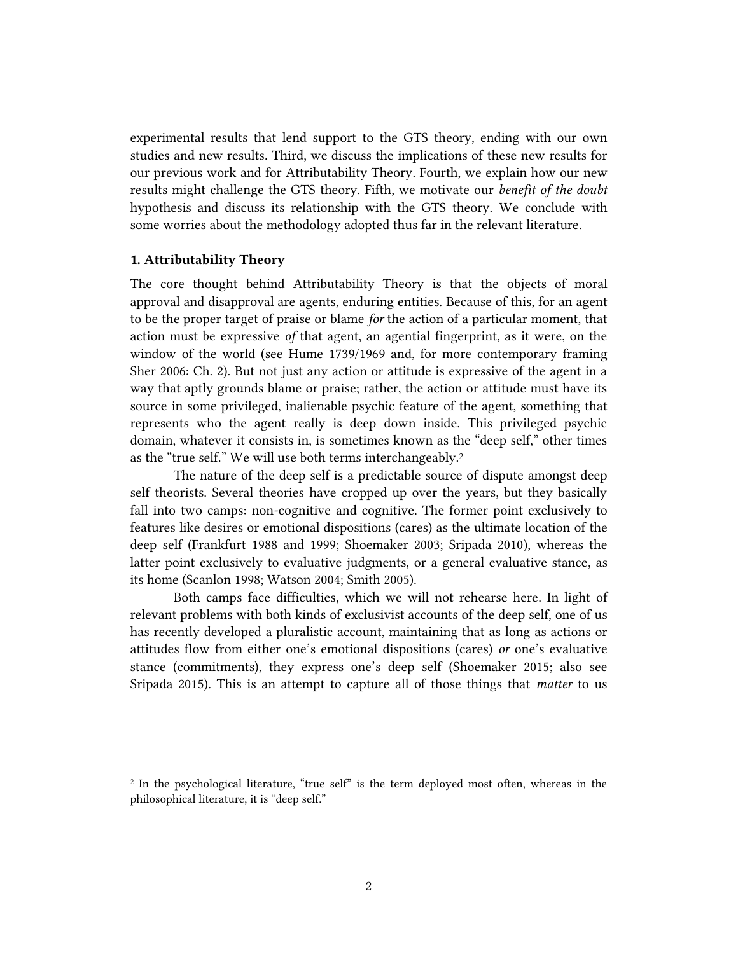experimental results that lend support to the GTS theory, ending with our own studies and new results. Third, we discuss the implications of these new results for our previous work and for Attributability Theory. Fourth, we explain how our new results might challenge the GTS theory. Fifth, we motivate our *benefit of the doubt*  hypothesis and discuss its relationship with the GTS theory. We conclude with some worries about the methodology adopted thus far in the relevant literature.

#### **1. Attributability Theory**

 $\overline{a}$ 

The core thought behind Attributability Theory is that the objects of moral approval and disapproval are agents, enduring entities. Because of this, for an agent to be the proper target of praise or blame *for* the action of a particular moment, that action must be expressive *of* that agent, an agential fingerprint, as it were, on the window of the world (see Hume 1739/1969 and, for more contemporary framing Sher 2006: Ch. 2). But not just any action or attitude is expressive of the agent in a way that aptly grounds blame or praise; rather, the action or attitude must have its source in some privileged, inalienable psychic feature of the agent, something that represents who the agent really is deep down inside. This privileged psychic domain, whatever it consists in, is sometimes known as the "deep self," other times as the "true self." We will use both terms interchangeably.<sup>2</sup>

The nature of the deep self is a predictable source of dispute amongst deep self theorists. Several theories have cropped up over the years, but they basically fall into two camps: non-cognitive and cognitive. The former point exclusively to features like desires or emotional dispositions (cares) as the ultimate location of the deep self (Frankfurt 1988 and 1999; Shoemaker 2003; Sripada 2010), whereas the latter point exclusively to evaluative judgments, or a general evaluative stance, as its home (Scanlon 1998; Watson 2004; Smith 2005).

Both camps face difficulties, which we will not rehearse here. In light of relevant problems with both kinds of exclusivist accounts of the deep self, one of us has recently developed a pluralistic account, maintaining that as long as actions or attitudes flow from either one's emotional dispositions (cares) *or* one's evaluative stance (commitments), they express one's deep self (Shoemaker 2015; also see Sripada 2015). This is an attempt to capture all of those things that *matter* to us

<sup>2</sup> In the psychological literature, "true self" is the term deployed most often, whereas in the philosophical literature, it is "deep self."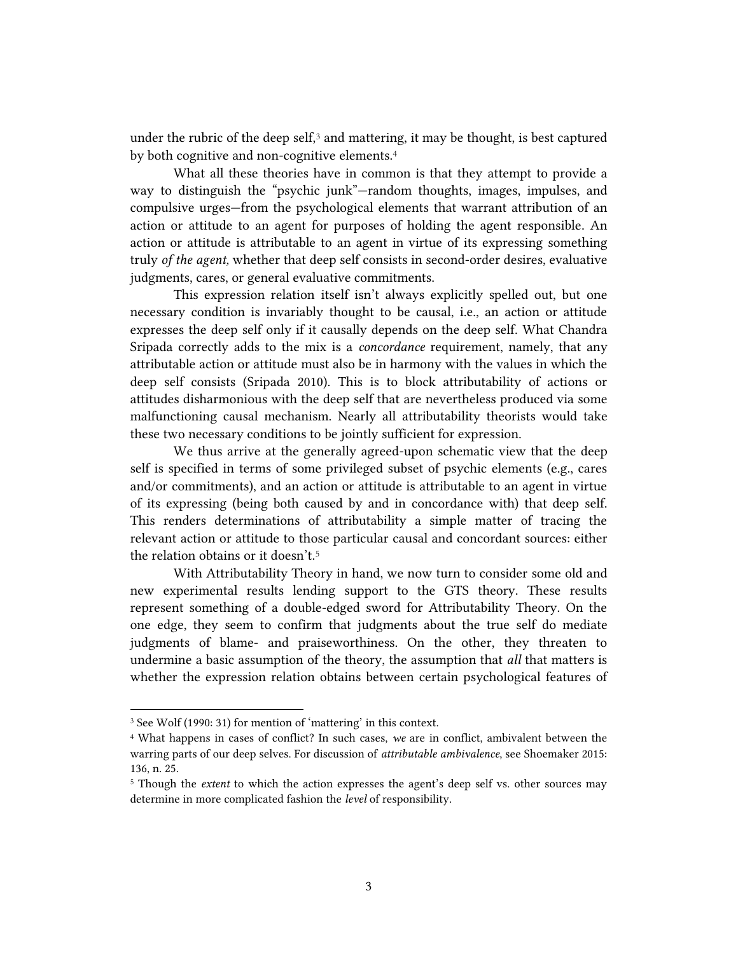under the rubric of the deep self, $3$  and mattering, it may be thought, is best captured by both cognitive and non-cognitive elements.<sup>4</sup>

What all these theories have in common is that they attempt to provide a way to distinguish the "psychic junk"—random thoughts, images, impulses, and compulsive urges—from the psychological elements that warrant attribution of an action or attitude to an agent for purposes of holding the agent responsible. An action or attitude is attributable to an agent in virtue of its expressing something truly *of the agent,* whether that deep self consists in second-order desires, evaluative judgments, cares, or general evaluative commitments.

This expression relation itself isn't always explicitly spelled out, but one necessary condition is invariably thought to be causal, i.e., an action or attitude expresses the deep self only if it causally depends on the deep self. What Chandra Sripada correctly adds to the mix is a *concordance* requirement, namely, that any attributable action or attitude must also be in harmony with the values in which the deep self consists (Sripada 2010). This is to block attributability of actions or attitudes disharmonious with the deep self that are nevertheless produced via some malfunctioning causal mechanism. Nearly all attributability theorists would take these two necessary conditions to be jointly sufficient for expression.

We thus arrive at the generally agreed-upon schematic view that the deep self is specified in terms of some privileged subset of psychic elements (e.g., cares and/or commitments), and an action or attitude is attributable to an agent in virtue of its expressing (being both caused by and in concordance with) that deep self. This renders determinations of attributability a simple matter of tracing the relevant action or attitude to those particular causal and concordant sources: either the relation obtains or it doesn't. 5

With Attributability Theory in hand, we now turn to consider some old and new experimental results lending support to the GTS theory. These results represent something of a double-edged sword for Attributability Theory. On the one edge, they seem to confirm that judgments about the true self do mediate judgments of blame- and praiseworthiness. On the other, they threaten to undermine a basic assumption of the theory, the assumption that *all* that matters is whether the expression relation obtains between certain psychological features of

<sup>3</sup> See Wolf (1990: 31) for mention of 'mattering' in this context.

<sup>4</sup> What happens in cases of conflict? In such cases, *we* are in conflict, ambivalent between the warring parts of our deep selves. For discussion of *attributable ambivalence*, see Shoemaker 2015: 136, n. 25.

<sup>&</sup>lt;sup>5</sup> Though the *extent* to which the action expresses the agent's deep self vs. other sources may determine in more complicated fashion the *level* of responsibility.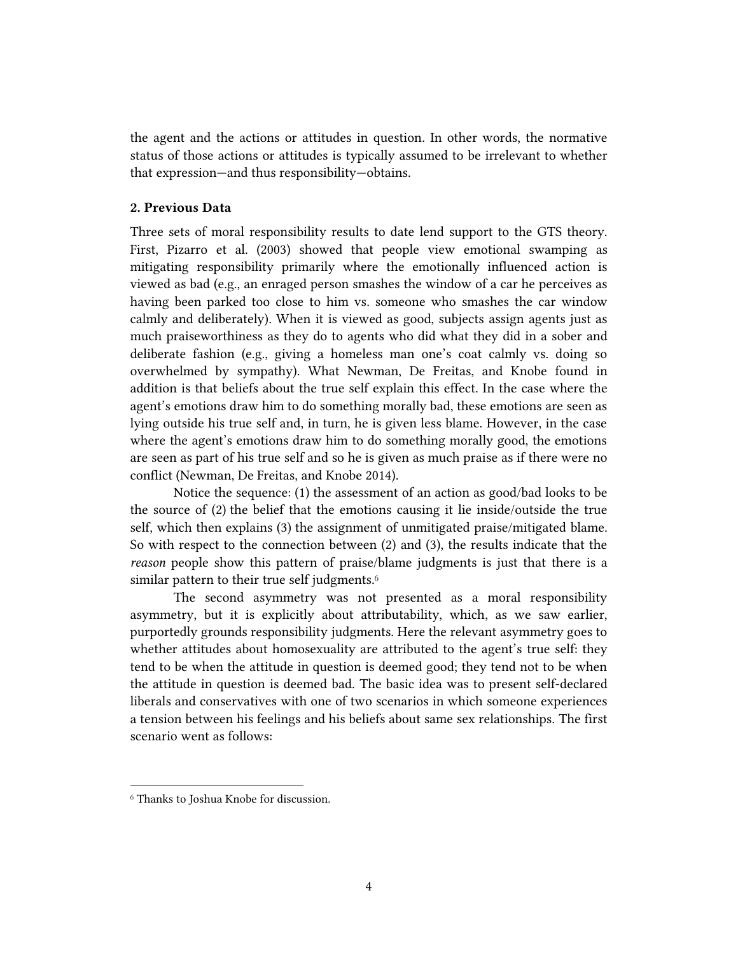the agent and the actions or attitudes in question. In other words, the normative status of those actions or attitudes is typically assumed to be irrelevant to whether that expression—and thus responsibility—obtains.

#### **2. Previous Data**

Three sets of moral responsibility results to date lend support to the GTS theory. First, Pizarro et al. (2003) showed that people view emotional swamping as mitigating responsibility primarily where the emotionally influenced action is viewed as bad (e.g., an enraged person smashes the window of a car he perceives as having been parked too close to him vs. someone who smashes the car window calmly and deliberately). When it is viewed as good, subjects assign agents just as much praiseworthiness as they do to agents who did what they did in a sober and deliberate fashion (e.g., giving a homeless man one's coat calmly vs. doing so overwhelmed by sympathy). What Newman, De Freitas, and Knobe found in addition is that beliefs about the true self explain this effect. In the case where the agent's emotions draw him to do something morally bad, these emotions are seen as lying outside his true self and, in turn, he is given less blame. However, in the case where the agent's emotions draw him to do something morally good, the emotions are seen as part of his true self and so he is given as much praise as if there were no conflict (Newman, De Freitas, and Knobe 2014).

Notice the sequence: (1) the assessment of an action as good/bad looks to be the source of (2) the belief that the emotions causing it lie inside/outside the true self, which then explains (3) the assignment of unmitigated praise/mitigated blame. So with respect to the connection between (2) and (3), the results indicate that the *reason* people show this pattern of praise/blame judgments is just that there is a similar pattern to their true self judgments.<sup>6</sup>

The second asymmetry was not presented as a moral responsibility asymmetry, but it is explicitly about attributability, which, as we saw earlier, purportedly grounds responsibility judgments. Here the relevant asymmetry goes to whether attitudes about homosexuality are attributed to the agent's true self: they tend to be when the attitude in question is deemed good; they tend not to be when the attitude in question is deemed bad. The basic idea was to present self-declared liberals and conservatives with one of two scenarios in which someone experiences a tension between his feelings and his beliefs about same sex relationships. The first scenario went as follows:

<sup>6</sup> Thanks to Joshua Knobe for discussion.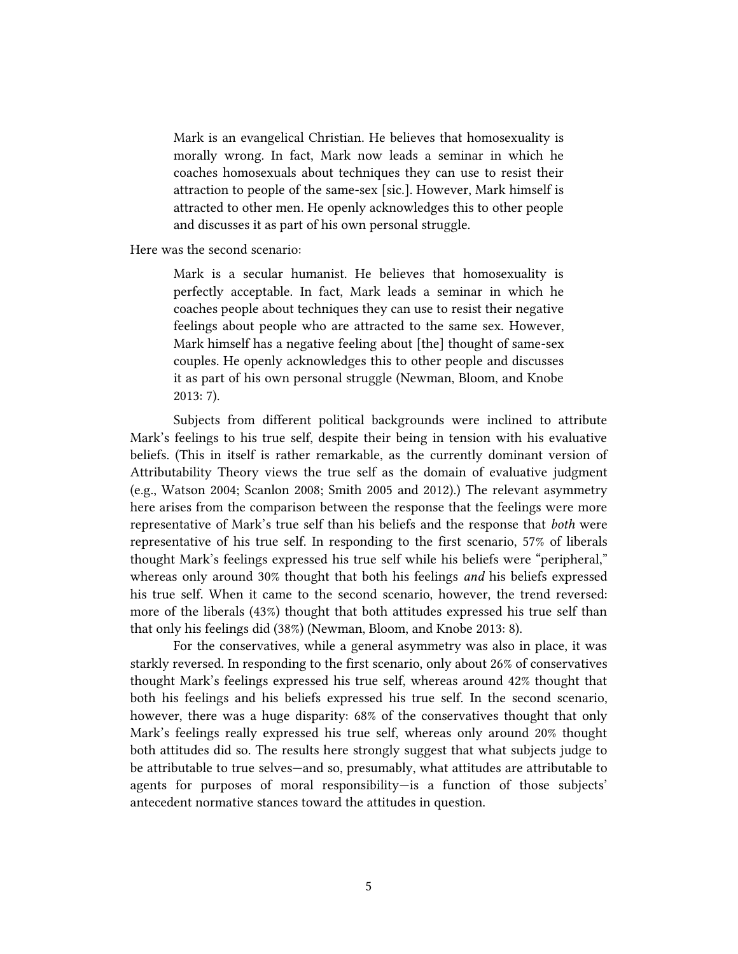Mark is an evangelical Christian. He believes that homosexuality is morally wrong. In fact, Mark now leads a seminar in which he coaches homosexuals about techniques they can use to resist their attraction to people of the same-sex [sic.]. However, Mark himself is attracted to other men. He openly acknowledges this to other people and discusses it as part of his own personal struggle.

Here was the second scenario:

Mark is a secular humanist. He believes that homosexuality is perfectly acceptable. In fact, Mark leads a seminar in which he coaches people about techniques they can use to resist their negative feelings about people who are attracted to the same sex. However, Mark himself has a negative feeling about [the] thought of same-sex couples. He openly acknowledges this to other people and discusses it as part of his own personal struggle (Newman, Bloom, and Knobe 2013: 7).

Subjects from different political backgrounds were inclined to attribute Mark's feelings to his true self, despite their being in tension with his evaluative beliefs. (This in itself is rather remarkable, as the currently dominant version of Attributability Theory views the true self as the domain of evaluative judgment (e.g., Watson 2004; Scanlon 2008; Smith 2005 and 2012).) The relevant asymmetry here arises from the comparison between the response that the feelings were more representative of Mark's true self than his beliefs and the response that *both* were representative of his true self. In responding to the first scenario, 57% of liberals thought Mark's feelings expressed his true self while his beliefs were "peripheral," whereas only around 30% thought that both his feelings *and* his beliefs expressed his true self. When it came to the second scenario, however, the trend reversed: more of the liberals (43%) thought that both attitudes expressed his true self than that only his feelings did (38%) (Newman, Bloom, and Knobe 2013: 8).

For the conservatives, while a general asymmetry was also in place, it was starkly reversed. In responding to the first scenario, only about 26% of conservatives thought Mark's feelings expressed his true self, whereas around 42% thought that both his feelings and his beliefs expressed his true self. In the second scenario, however, there was a huge disparity: 68% of the conservatives thought that only Mark's feelings really expressed his true self, whereas only around 20% thought both attitudes did so. The results here strongly suggest that what subjects judge to be attributable to true selves—and so, presumably, what attitudes are attributable to agents for purposes of moral responsibility—is a function of those subjects' antecedent normative stances toward the attitudes in question.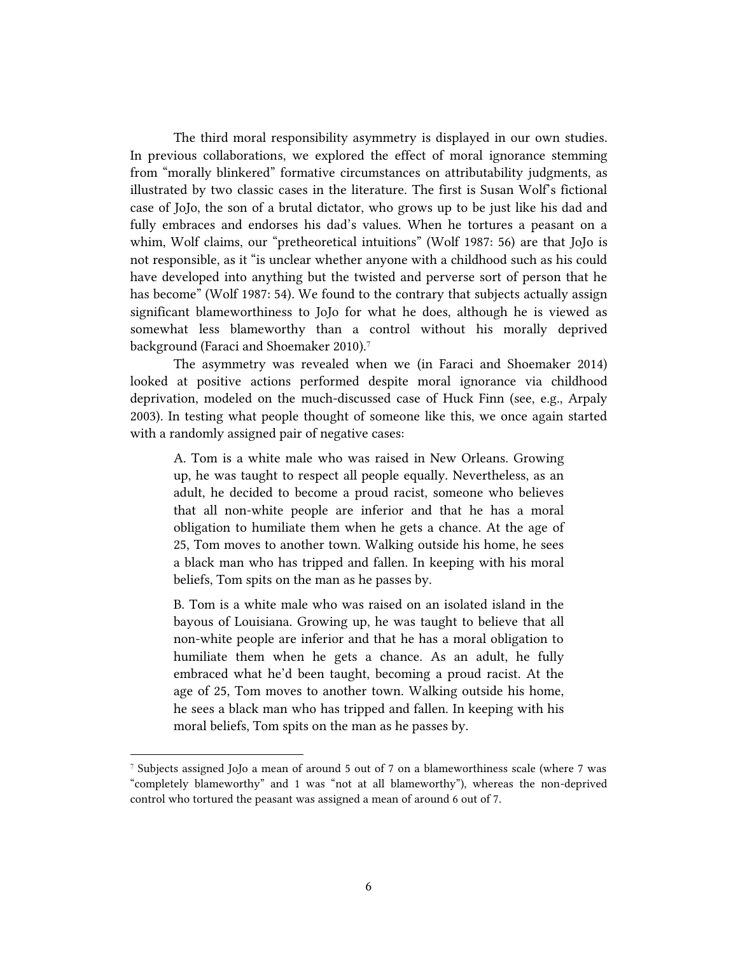The third moral responsibility asymmetry is displayed in our own studies. In previous collaborations, we explored the effect of moral ignorance stemming from "morally blinkered" formative circumstances on attributability judgments, as illustrated by two classic cases in the literature. The first is Susan Wolf's fictional case of JoJo, the son of a brutal dictator, who grows up to be just like his dad and fully embraces and endorses his dad's values. When he tortures a peasant on a whim, Wolf claims, our "pretheoretical intuitions" (Wolf 1987: 56) are that JoJo is not responsible, as it "is unclear whether anyone with a childhood such as his could have developed into anything but the twisted and perverse sort of person that he has become" (Wolf 1987: 54). We found to the contrary that subjects actually assign significant blameworthiness to JoJo for what he does, although he is viewed as somewhat less blameworthy than a control without his morally deprived background (Faraci and Shoemaker 2010).<sup>7</sup>

The asymmetry was revealed when we (in Faraci and Shoemaker 2014) looked at positive actions performed despite moral ignorance via childhood deprivation, modeled on the much-discussed case of Huck Finn (see, e.g., Arpaly 2003). In testing what people thought of someone like this, we once again started with a randomly assigned pair of negative cases:

A. Tom is a white male who was raised in New Orleans. Growing up, he was taught to respect all people equally. Nevertheless, as an adult, he decided to become a proud racist, someone who believes that all non-white people are inferior and that he has a moral obligation to humiliate them when he gets a chance. At the age of 25, Tom moves to another town. Walking outside his home, he sees a black man who has tripped and fallen. In keeping with his moral beliefs, Tom spits on the man as he passes by.

B. Tom is a white male who was raised on an isolated island in the bayous of Louisiana. Growing up, he was taught to believe that all non-white people are inferior and that he has a moral obligation to humiliate them when he gets a chance. As an adult, he fully embraced what he'd been taught, becoming a proud racist. At the age of 25, Tom moves to another town. Walking outside his home, he sees a black man who has tripped and fallen. In keeping with his moral beliefs, Tom spits on the man as he passes by.

<sup>7</sup> Subjects assigned JoJo a mean of around 5 out of 7 on a blameworthiness scale (where 7 was "completely blameworthy" and 1 was "not at all blameworthy"), whereas the non-deprived control who tortured the peasant was assigned a mean of around 6 out of 7.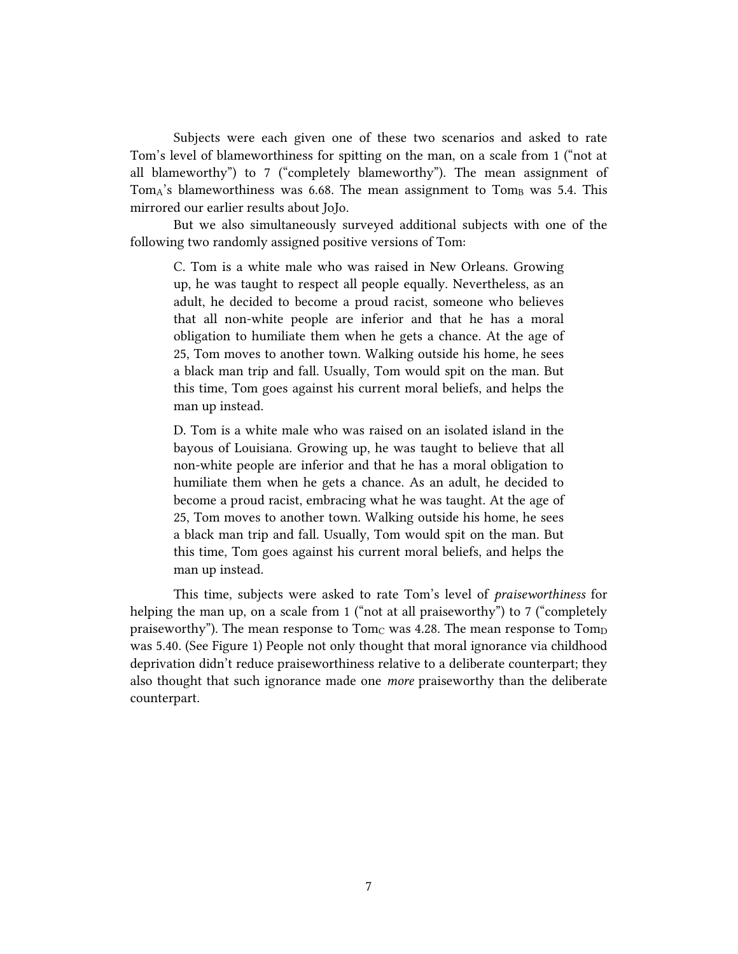Subjects were each given one of these two scenarios and asked to rate Tom's level of blameworthiness for spitting on the man, on a scale from 1 ("not at all blameworthy") to 7 ("completely blameworthy"). The mean assignment of  $Tom_A$ 's blameworthiness was 6.68. The mean assignment to  $Tom_B$  was 5.4. This mirrored our earlier results about JoJo.

But we also simultaneously surveyed additional subjects with one of the following two randomly assigned positive versions of Tom:

C. Tom is a white male who was raised in New Orleans. Growing up, he was taught to respect all people equally. Nevertheless, as an adult, he decided to become a proud racist, someone who believes that all non-white people are inferior and that he has a moral obligation to humiliate them when he gets a chance. At the age of 25, Tom moves to another town. Walking outside his home, he sees a black man trip and fall. Usually, Tom would spit on the man. But this time, Tom goes against his current moral beliefs, and helps the man up instead.

D. Tom is a white male who was raised on an isolated island in the bayous of Louisiana. Growing up, he was taught to believe that all non-white people are inferior and that he has a moral obligation to humiliate them when he gets a chance. As an adult, he decided to become a proud racist, embracing what he was taught. At the age of 25, Tom moves to another town. Walking outside his home, he sees a black man trip and fall. Usually, Tom would spit on the man. But this time, Tom goes against his current moral beliefs, and helps the man up instead.

This time, subjects were asked to rate Tom's level of *praiseworthiness* for helping the man up, on a scale from 1 ("not at all praiseworthy") to 7 ("completely praiseworthy"). The mean response to  $Tom<sub>C</sub>$  was 4.28. The mean response to  $Tom<sub>D</sub>$ was 5.40. (See Figure 1) People not only thought that moral ignorance via childhood deprivation didn't reduce praiseworthiness relative to a deliberate counterpart; they also thought that such ignorance made one *more* praiseworthy than the deliberate counterpart.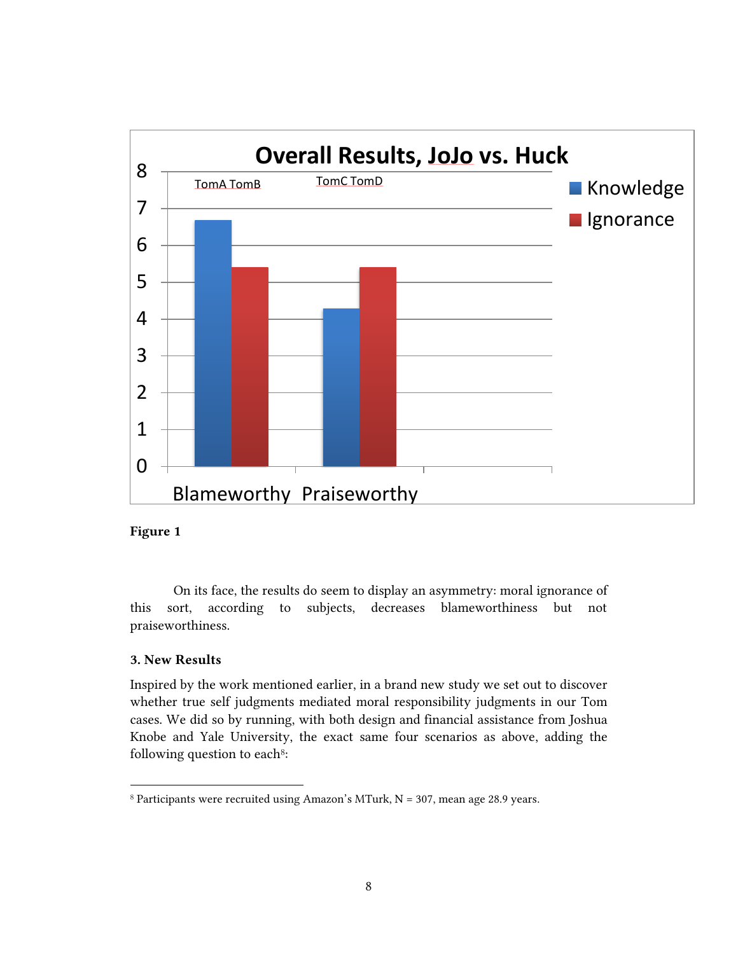



On its face, the results do seem to display an asymmetry: moral ignorance of this sort, according to subjects, decreases blameworthiness but not praiseworthiness.

### **3. New Results**

 $\overline{a}$ 

Inspired by the work mentioned earlier, in a brand new study we set out to discover whether true self judgments mediated moral responsibility judgments in our Tom cases. We did so by running, with both design and financial assistance from Joshua Knobe and Yale University, the exact same four scenarios as above, adding the following question to each<sup>8</sup>:

<sup>8</sup> Participants were recruited using Amazon's MTurk, N = 307, mean age 28.9 years.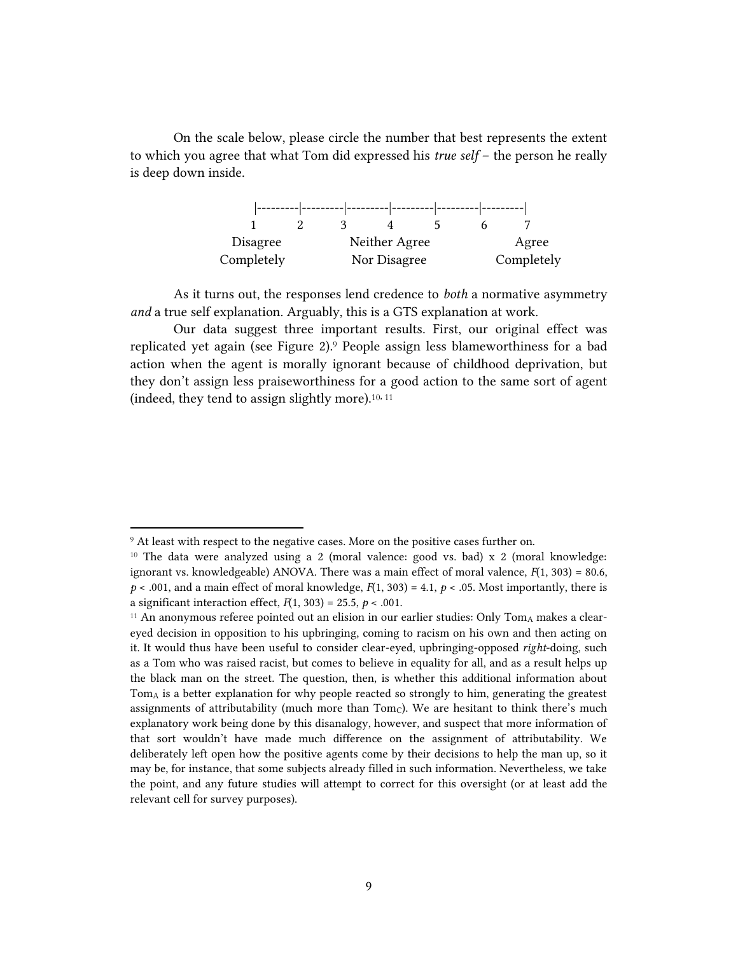On the scale below, please circle the number that best represents the extent to which you agree that what Tom did expressed his *true self* – the person he really is deep down inside.



As it turns out, the responses lend credence to *both* a normative asymmetry *and* a true self explanation. Arguably, this is a GTS explanation at work.

Our data suggest three important results. First, our original effect was replicated yet again (see Figure 2). <sup>9</sup> People assign less blameworthiness for a bad action when the agent is morally ignorant because of childhood deprivation, but they don't assign less praiseworthiness for a good action to the same sort of agent (indeed, they tend to assign slightly more). $10, 11$ 

<sup>&</sup>lt;sup>9</sup> At least with respect to the negative cases. More on the positive cases further on.

 $10$  The data were analyzed using a 2 (moral valence: good vs. bad) x 2 (moral knowledge: ignorant vs. knowledgeable) ANOVA. There was a main effect of moral valence,  $F(1, 303) = 80.6$ ,  $p < .001$ , and a main effect of moral knowledge,  $F(1, 303) = 4.1$ ,  $p < .05$ . Most importantly, there is a significant interaction effect,  $F(1, 303) = 25.5$ ,  $p < .001$ .

<sup>&</sup>lt;sup>11</sup> An anonymous referee pointed out an elision in our earlier studies: Only  $Tom<sub>A</sub>$  makes a cleareyed decision in opposition to his upbringing, coming to racism on his own and then acting on it. It would thus have been useful to consider clear-eyed, upbringing-opposed *right*-doing, such as a Tom who was raised racist, but comes to believe in equality for all, and as a result helps up the black man on the street. The question, then, is whether this additional information about Tom<sup>A</sup> is a better explanation for why people reacted so strongly to him, generating the greatest assignments of attributability (much more than  $Tom<sub>C</sub>$ ). We are hesitant to think there's much explanatory work being done by this disanalogy, however, and suspect that more information of that sort wouldn't have made much difference on the assignment of attributability. We deliberately left open how the positive agents come by their decisions to help the man up, so it may be, for instance, that some subjects already filled in such information. Nevertheless, we take the point, and any future studies will attempt to correct for this oversight (or at least add the relevant cell for survey purposes).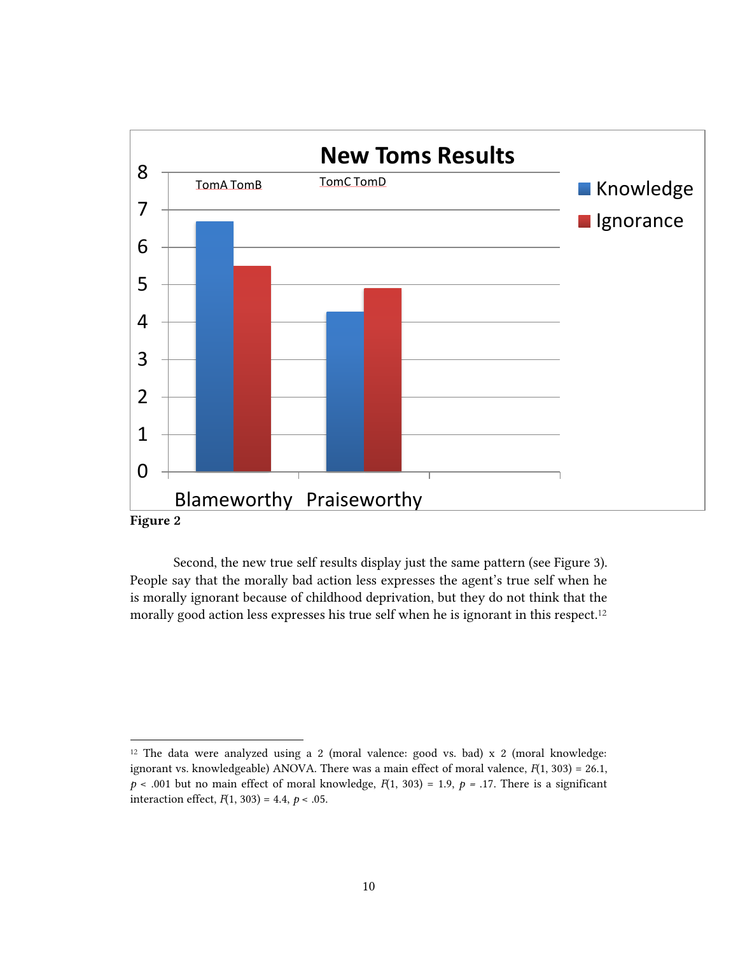

Second, the new true self results display just the same pattern (see Figure 3). People say that the morally bad action less expresses the agent's true self when he is morally ignorant because of childhood deprivation, but they do not think that the morally good action less expresses his true self when he is ignorant in this respect.<sup>12</sup>

 $12$  The data were analyzed using a 2 (moral valence: good vs. bad) x 2 (moral knowledge: ignorant vs. knowledgeable) ANOVA. There was a main effect of moral valence, *F*(1, 303) = 26.1,  $p < .001$  but no main effect of moral knowledge,  $F(1, 303) = 1.9$ ,  $p = .17$ . There is a significant interaction effect,  $F(1, 303) = 4.4$ ,  $p < .05$ .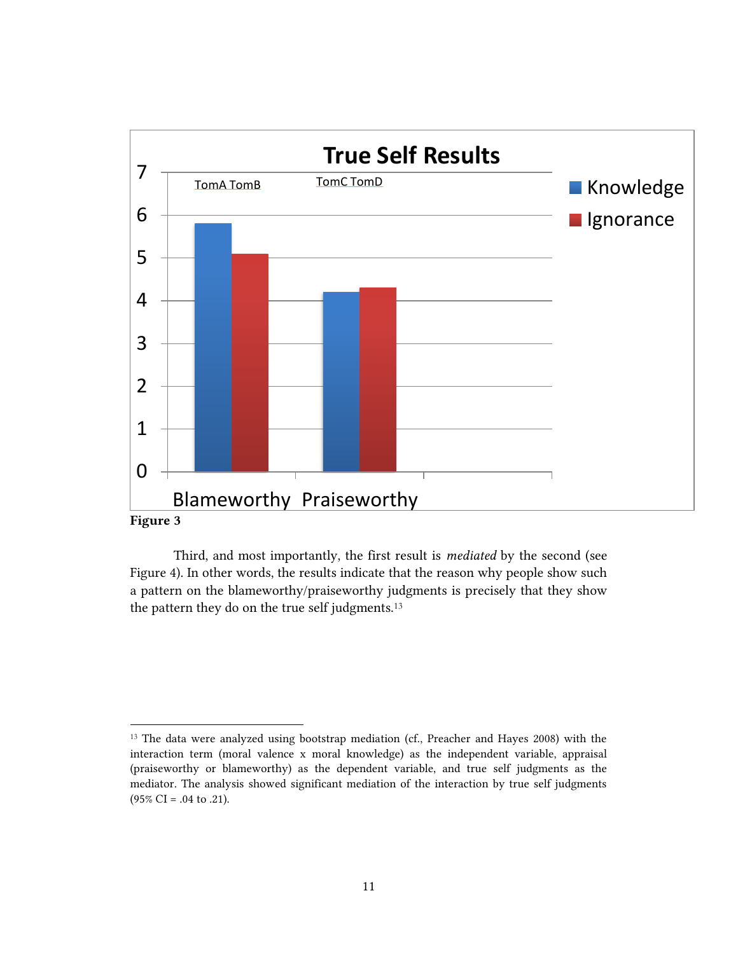

**Figure 3**

 $\overline{a}$ 

Third, and most importantly, the first result is *mediated* by the second (see Figure 4). In other words, the results indicate that the reason why people show such a pattern on the blameworthy/praiseworthy judgments is precisely that they show the pattern they do on the true self judgments.<sup>13</sup>

<sup>13</sup> The data were analyzed using bootstrap mediation (cf., Preacher and Hayes 2008) with the interaction term (moral valence x moral knowledge) as the independent variable, appraisal (praiseworthy or blameworthy) as the dependent variable, and true self judgments as the mediator. The analysis showed significant mediation of the interaction by true self judgments  $(95\% \text{ CI} = .04 \text{ to } .21).$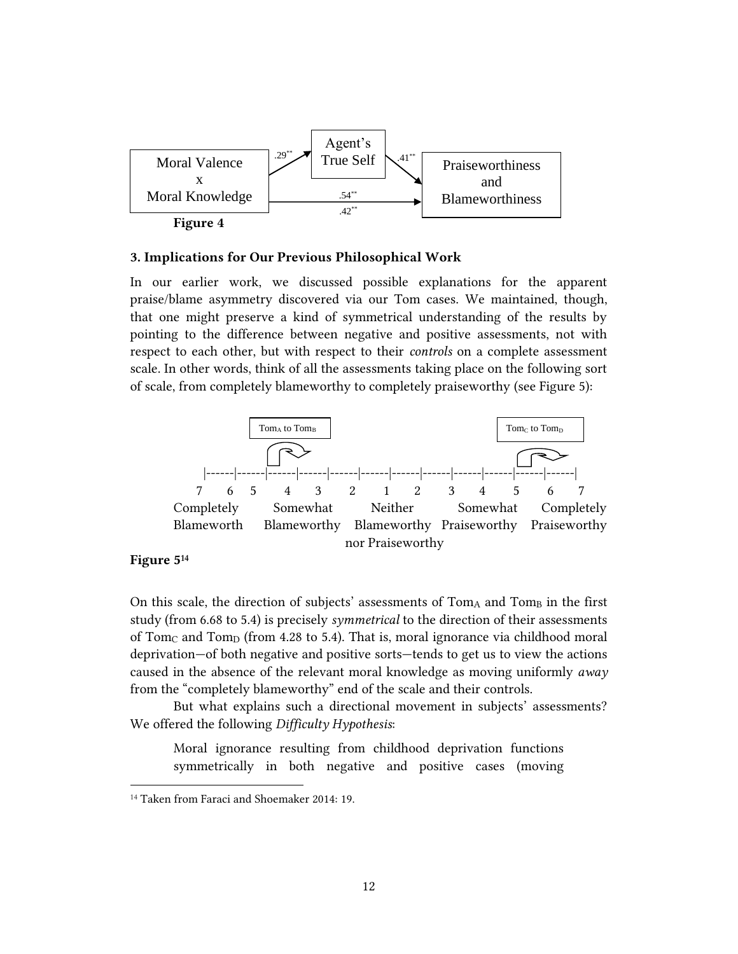

#### **3. Implications for Our Previous Philosophical Work**

In our earlier work, we discussed possible explanations for the apparent praise/blame asymmetry discovered via our Tom cases. We maintained, though, that one might preserve a kind of symmetrical understanding of the results by pointing to the difference between negative and positive assessments, not with respect to each other, but with respect to their *controls* on a complete assessment scale. In other words, think of all the assessments taking place on the following sort of scale, from completely blameworthy to completely praiseworthy (see Figure 5):



### **Figure 5<sup>14</sup>**

 $\overline{a}$ 

On this scale, the direction of subjects' assessments of  $Tom<sub>A</sub>$  and  $Tom<sub>B</sub>$  in the first study (from 6.68 to 5.4) is precisely *symmetrical* to the direction of their assessments of Tom<sub>C</sub> and Tom<sub>D</sub> (from 4.28 to 5.4). That is, moral ignorance via childhood moral deprivation—of both negative and positive sorts—tends to get us to view the actions caused in the absence of the relevant moral knowledge as moving uniformly *away* from the "completely blameworthy" end of the scale and their controls.

But what explains such a directional movement in subjects' assessments? We offered the following *Difficulty Hypothesis*:

Moral ignorance resulting from childhood deprivation functions symmetrically in both negative and positive cases (moving

<sup>14</sup> Taken from Faraci and Shoemaker 2014: 19.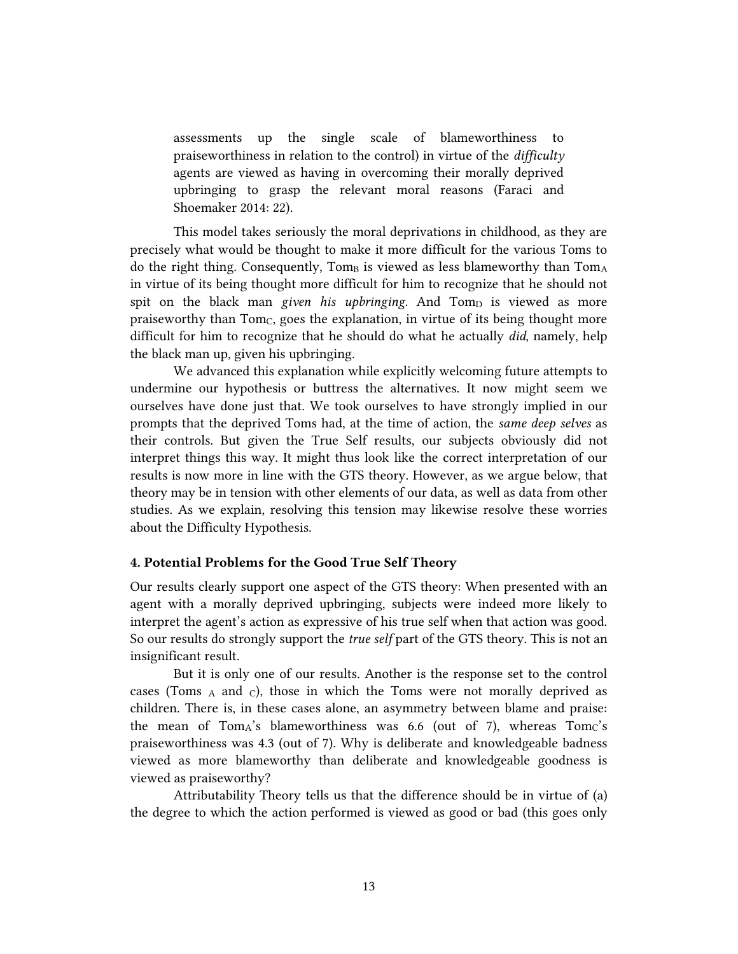assessments up the single scale of blameworthiness to praiseworthiness in relation to the control) in virtue of the *difficulty* agents are viewed as having in overcoming their morally deprived upbringing to grasp the relevant moral reasons (Faraci and Shoemaker 2014: 22).

This model takes seriously the moral deprivations in childhood, as they are precisely what would be thought to make it more difficult for the various Toms to do the right thing. Consequently,  $Tom_B$  is viewed as less blameworthy than  $Tom_A$ in virtue of its being thought more difficult for him to recognize that he should not spit on the black man *given his upbringing*. And Tomp is viewed as more praiseworthy than  $Tom<sub>C</sub>$ , goes the explanation, in virtue of its being thought more difficult for him to recognize that he should do what he actually *did*, namely, help the black man up, given his upbringing.

We advanced this explanation while explicitly welcoming future attempts to undermine our hypothesis or buttress the alternatives. It now might seem we ourselves have done just that. We took ourselves to have strongly implied in our prompts that the deprived Toms had, at the time of action, the *same deep selves* as their controls. But given the True Self results, our subjects obviously did not interpret things this way. It might thus look like the correct interpretation of our results is now more in line with the GTS theory. However, as we argue below, that theory may be in tension with other elements of our data, as well as data from other studies. As we explain, resolving this tension may likewise resolve these worries about the Difficulty Hypothesis.

#### **4. Potential Problems for the Good True Self Theory**

Our results clearly support one aspect of the GTS theory: When presented with an agent with a morally deprived upbringing, subjects were indeed more likely to interpret the agent's action as expressive of his true self when that action was good. So our results do strongly support the *true self* part of the GTS theory. This is not an insignificant result.

But it is only one of our results. Another is the response set to the control cases (Toms <sup>A</sup> and C), those in which the Toms were not morally deprived as children. There is, in these cases alone, an asymmetry between blame and praise: the mean of  $Tom_A$ 's blameworthiness was 6.6 (out of 7), whereas  $Tom_C$ 's praiseworthiness was 4.3 (out of 7). Why is deliberate and knowledgeable badness viewed as more blameworthy than deliberate and knowledgeable goodness is viewed as praiseworthy?

Attributability Theory tells us that the difference should be in virtue of (a) the degree to which the action performed is viewed as good or bad (this goes only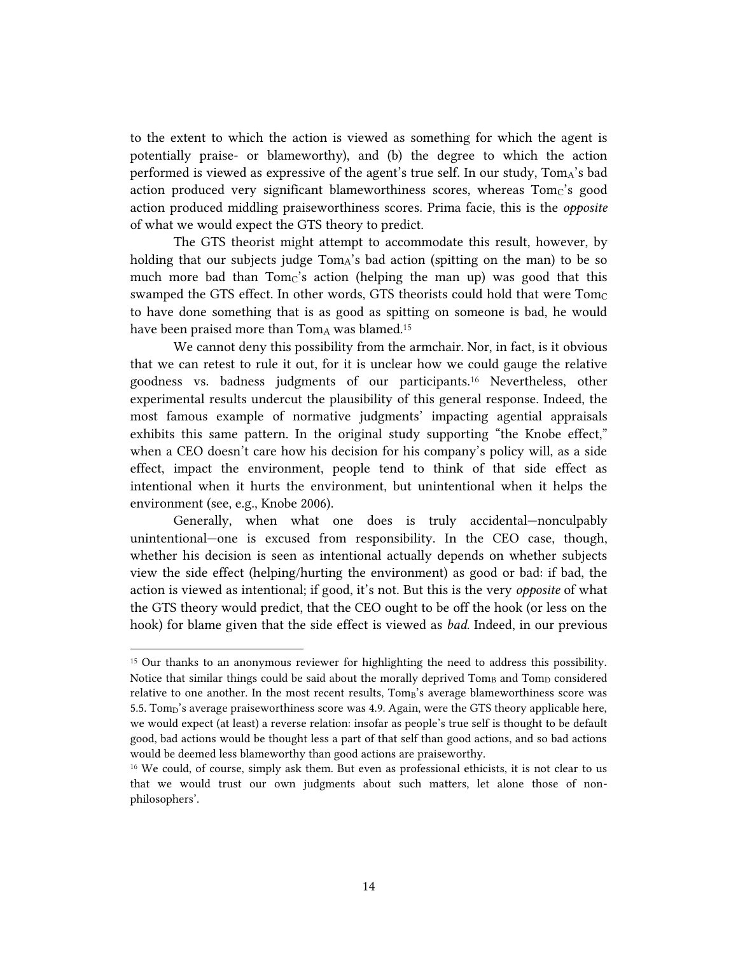to the extent to which the action is viewed as something for which the agent is potentially praise- or blameworthy), and (b) the degree to which the action performed is viewed as expressive of the agent's true self. In our study, TomA's bad action produced very significant blameworthiness scores, whereas Tomc's good action produced middling praiseworthiness scores. Prima facie, this is the *opposite* of what we would expect the GTS theory to predict.

The GTS theorist might attempt to accommodate this result, however, by holding that our subjects judge  $Tom_A$ 's bad action (spitting on the man) to be so much more bad than  $Tom<sub>C</sub>$ 's action (helping the man up) was good that this swamped the GTS effect. In other words, GTS theorists could hold that were  $Tom<sub>C</sub>$ to have done something that is as good as spitting on someone is bad, he would have been praised more than TomA was blamed.<sup>15</sup>

We cannot deny this possibility from the armchair. Nor, in fact, is it obvious that we can retest to rule it out, for it is unclear how we could gauge the relative goodness vs. badness judgments of our participants.<sup>16</sup> Nevertheless, other experimental results undercut the plausibility of this general response. Indeed, the most famous example of normative judgments' impacting agential appraisals exhibits this same pattern. In the original study supporting "the Knobe effect," when a CEO doesn't care how his decision for his company's policy will, as a side effect, impact the environment, people tend to think of that side effect as intentional when it hurts the environment, but unintentional when it helps the environment (see, e.g., Knobe 2006).

Generally, when what one does is truly accidental—nonculpably unintentional—one is excused from responsibility. In the CEO case, though, whether his decision is seen as intentional actually depends on whether subjects view the side effect (helping/hurting the environment) as good or bad: if bad, the action is viewed as intentional; if good, it's not. But this is the very *opposite* of what the GTS theory would predict, that the CEO ought to be off the hook (or less on the hook) for blame given that the side effect is viewed as *bad*. Indeed, in our previous

<sup>&</sup>lt;sup>15</sup> Our thanks to an anonymous reviewer for highlighting the need to address this possibility. Notice that similar things could be said about the morally deprived  $T \text{om}_B$  and  $T \text{om}_D$  considered relative to one another. In the most recent results, TomB's average blameworthiness score was 5.5. Tomp's average praiseworthiness score was 4.9. Again, were the GTS theory applicable here, we would expect (at least) a reverse relation: insofar as people's true self is thought to be default good, bad actions would be thought less a part of that self than good actions, and so bad actions would be deemed less blameworthy than good actions are praiseworthy.

<sup>&</sup>lt;sup>16</sup> We could, of course, simply ask them. But even as professional ethicists, it is not clear to us that we would trust our own judgments about such matters, let alone those of nonphilosophers'.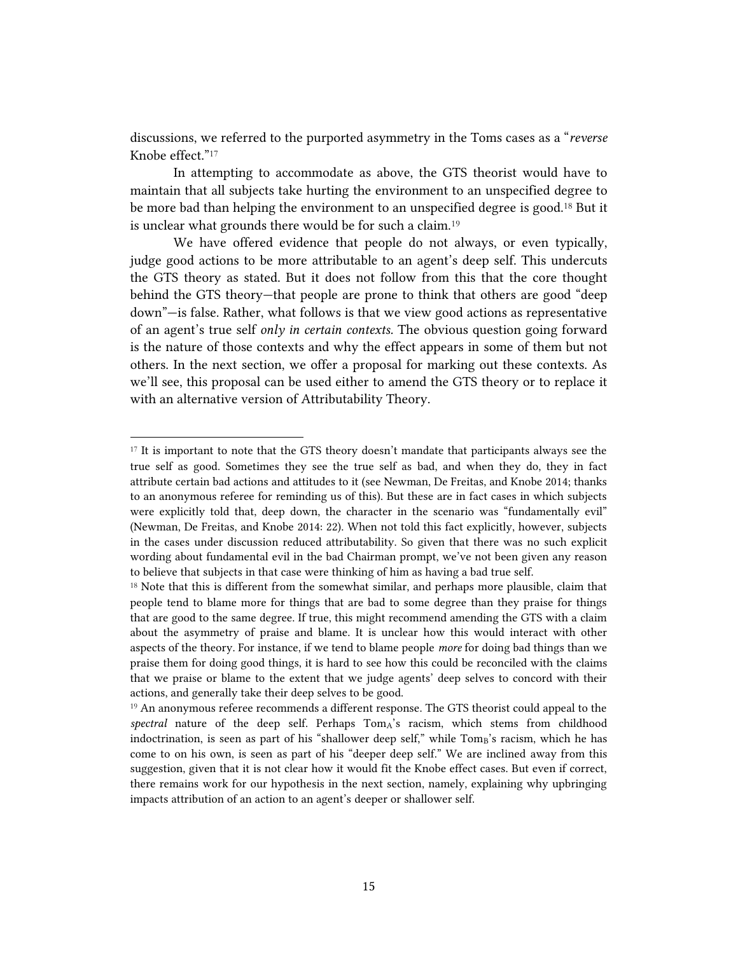discussions, we referred to the purported asymmetry in the Toms cases as a "*reverse* Knobe effect."<sup>17</sup>

In attempting to accommodate as above, the GTS theorist would have to maintain that all subjects take hurting the environment to an unspecified degree to be more bad than helping the environment to an unspecified degree is good.<sup>18</sup> But it is unclear what grounds there would be for such a claim.<sup>19</sup>

We have offered evidence that people do not always, or even typically, judge good actions to be more attributable to an agent's deep self. This undercuts the GTS theory as stated. But it does not follow from this that the core thought behind the GTS theory—that people are prone to think that others are good "deep down"—is false. Rather, what follows is that we view good actions as representative of an agent's true self *only in certain contexts.* The obvious question going forward is the nature of those contexts and why the effect appears in some of them but not others. In the next section, we offer a proposal for marking out these contexts. As we'll see, this proposal can be used either to amend the GTS theory or to replace it with an alternative version of Attributability Theory.

<sup>&</sup>lt;sup>17</sup> It is important to note that the GTS theory doesn't mandate that participants always see the true self as good. Sometimes they see the true self as bad, and when they do, they in fact attribute certain bad actions and attitudes to it (see Newman, De Freitas, and Knobe 2014; thanks to an anonymous referee for reminding us of this). But these are in fact cases in which subjects were explicitly told that, deep down, the character in the scenario was "fundamentally evil" (Newman, De Freitas, and Knobe 2014: 22). When not told this fact explicitly, however, subjects in the cases under discussion reduced attributability. So given that there was no such explicit wording about fundamental evil in the bad Chairman prompt, we've not been given any reason to believe that subjects in that case were thinking of him as having a bad true self.

<sup>&</sup>lt;sup>18</sup> Note that this is different from the somewhat similar, and perhaps more plausible, claim that people tend to blame more for things that are bad to some degree than they praise for things that are good to the same degree. If true, this might recommend amending the GTS with a claim about the asymmetry of praise and blame. It is unclear how this would interact with other aspects of the theory. For instance, if we tend to blame people *more* for doing bad things than we praise them for doing good things, it is hard to see how this could be reconciled with the claims that we praise or blame to the extent that we judge agents' deep selves to concord with their actions, and generally take their deep selves to be good.

<sup>&</sup>lt;sup>19</sup> An anonymous referee recommends a different response. The GTS theorist could appeal to the spectral nature of the deep self. Perhaps TomA's racism, which stems from childhood indoctrination, is seen as part of his "shallower deep self," while TomB's racism, which he has come to on his own, is seen as part of his "deeper deep self." We are inclined away from this suggestion, given that it is not clear how it would fit the Knobe effect cases. But even if correct, there remains work for our hypothesis in the next section, namely, explaining why upbringing impacts attribution of an action to an agent's deeper or shallower self.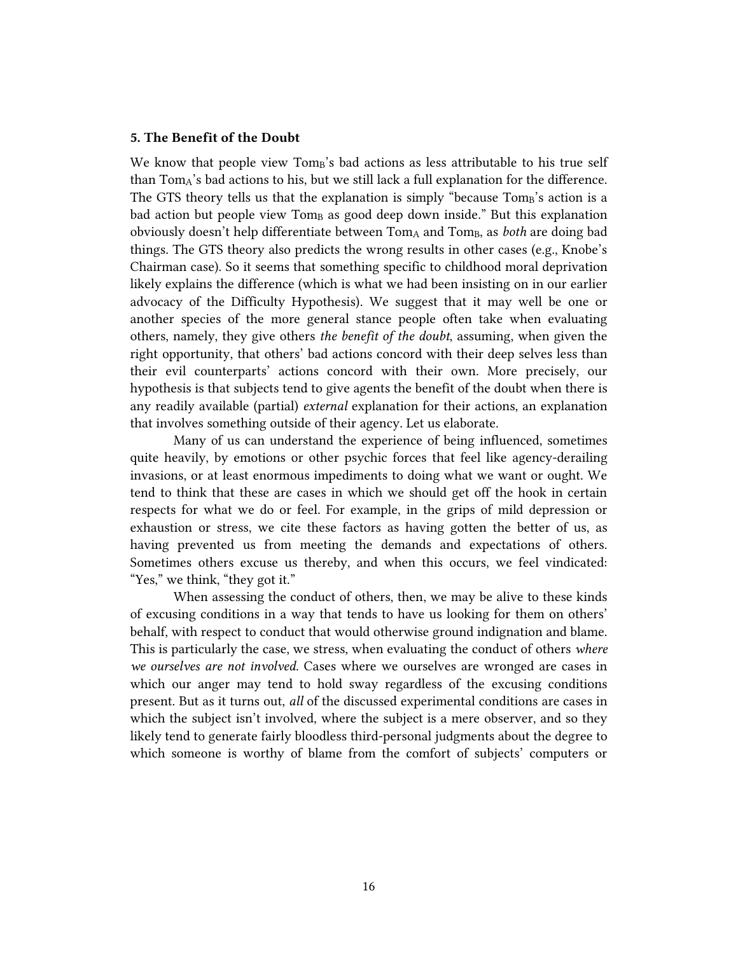### **5. The Benefit of the Doubt**

We know that people view Tom<sub>B</sub>'s bad actions as less attributable to his true self than Tom<sub>A</sub>'s bad actions to his, but we still lack a full explanation for the difference. The GTS theory tells us that the explanation is simply "because  $T \text{om}_B$ 's action is a bad action but people view Tom<sub>B</sub> as good deep down inside." But this explanation obviously doesn't help differentiate between Tom<sub>A</sub> and Tom<sub>B</sub>, as *both* are doing bad things. The GTS theory also predicts the wrong results in other cases (e.g., Knobe's Chairman case). So it seems that something specific to childhood moral deprivation likely explains the difference (which is what we had been insisting on in our earlier advocacy of the Difficulty Hypothesis). We suggest that it may well be one or another species of the more general stance people often take when evaluating others, namely, they give others *the benefit of the doubt*, assuming, when given the right opportunity, that others' bad actions concord with their deep selves less than their evil counterparts' actions concord with their own. More precisely, our hypothesis is that subjects tend to give agents the benefit of the doubt when there is any readily available (partial) *external* explanation for their actions, an explanation that involves something outside of their agency. Let us elaborate.

Many of us can understand the experience of being influenced, sometimes quite heavily, by emotions or other psychic forces that feel like agency-derailing invasions, or at least enormous impediments to doing what we want or ought. We tend to think that these are cases in which we should get off the hook in certain respects for what we do or feel. For example, in the grips of mild depression or exhaustion or stress, we cite these factors as having gotten the better of us, as having prevented us from meeting the demands and expectations of others. Sometimes others excuse us thereby, and when this occurs, we feel vindicated: "Yes," we think, "they got it."

When assessing the conduct of others, then, we may be alive to these kinds of excusing conditions in a way that tends to have us looking for them on others' behalf, with respect to conduct that would otherwise ground indignation and blame. This is particularly the case, we stress, when evaluating the conduct of others *where we ourselves are not involved.* Cases where we ourselves are wronged are cases in which our anger may tend to hold sway regardless of the excusing conditions present. But as it turns out, *all* of the discussed experimental conditions are cases in which the subject isn't involved, where the subject is a mere observer, and so they likely tend to generate fairly bloodless third-personal judgments about the degree to which someone is worthy of blame from the comfort of subjects' computers or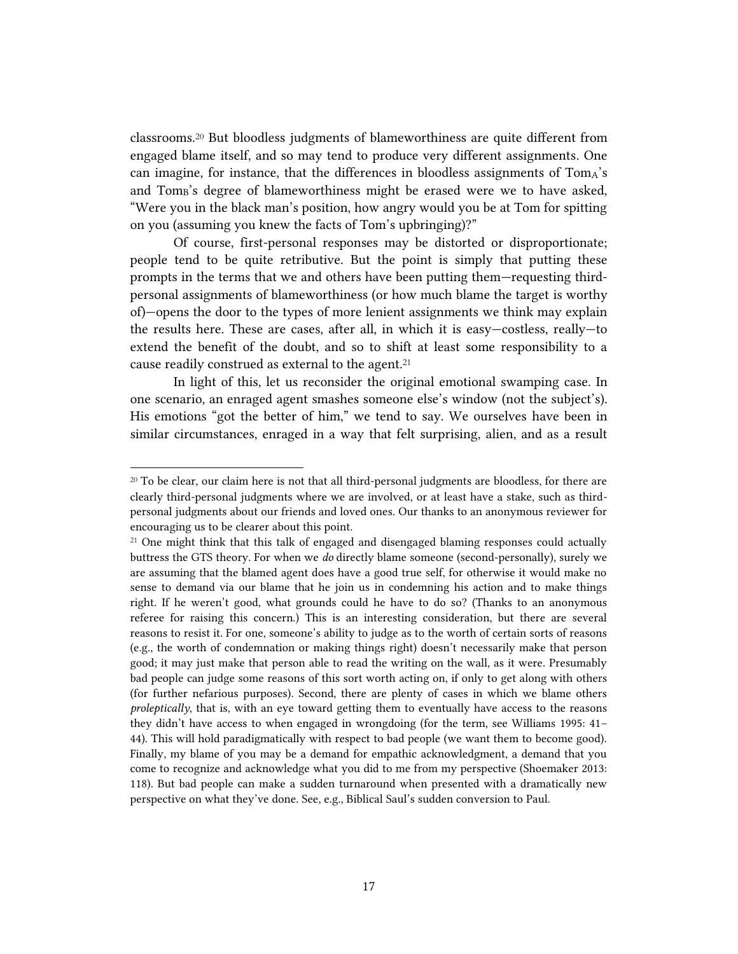classrooms.<sup>20</sup> But bloodless judgments of blameworthiness are quite different from engaged blame itself, and so may tend to produce very different assignments. One can imagine, for instance, that the differences in bloodless assignments of TomA's and Tom<sub>B</sub>'s degree of blameworthiness might be erased were we to have asked, "Were you in the black man's position, how angry would you be at Tom for spitting on you (assuming you knew the facts of Tom's upbringing)?"

Of course, first-personal responses may be distorted or disproportionate; people tend to be quite retributive. But the point is simply that putting these prompts in the terms that we and others have been putting them—requesting thirdpersonal assignments of blameworthiness (or how much blame the target is worthy of)—opens the door to the types of more lenient assignments we think may explain the results here. These are cases, after all, in which it is easy—costless, really—to extend the benefit of the doubt, and so to shift at least some responsibility to a cause readily construed as external to the agent.<sup>21</sup>

In light of this, let us reconsider the original emotional swamping case. In one scenario, an enraged agent smashes someone else's window (not the subject's). His emotions "got the better of him," we tend to say. We ourselves have been in similar circumstances, enraged in a way that felt surprising, alien, and as a result

<sup>&</sup>lt;sup>20</sup> To be clear, our claim here is not that all third-personal judgments are bloodless, for there are clearly third-personal judgments where we are involved, or at least have a stake, such as thirdpersonal judgments about our friends and loved ones. Our thanks to an anonymous reviewer for encouraging us to be clearer about this point.

<sup>&</sup>lt;sup>21</sup> One might think that this talk of engaged and disengaged blaming responses could actually buttress the GTS theory. For when we *do* directly blame someone (second-personally), surely we are assuming that the blamed agent does have a good true self, for otherwise it would make no sense to demand via our blame that he join us in condemning his action and to make things right. If he weren't good, what grounds could he have to do so? (Thanks to an anonymous referee for raising this concern.) This is an interesting consideration, but there are several reasons to resist it. For one, someone's ability to judge as to the worth of certain sorts of reasons (e.g., the worth of condemnation or making things right) doesn't necessarily make that person good; it may just make that person able to read the writing on the wall, as it were. Presumably bad people can judge some reasons of this sort worth acting on, if only to get along with others (for further nefarious purposes). Second, there are plenty of cases in which we blame others *proleptically*, that is, with an eye toward getting them to eventually have access to the reasons they didn't have access to when engaged in wrongdoing (for the term, see Williams 1995: 41– 44). This will hold paradigmatically with respect to bad people (we want them to become good). Finally, my blame of you may be a demand for empathic acknowledgment, a demand that you come to recognize and acknowledge what you did to me from my perspective (Shoemaker 2013: 118). But bad people can make a sudden turnaround when presented with a dramatically new perspective on what they've done. See, e.g., Biblical Saul's sudden conversion to Paul.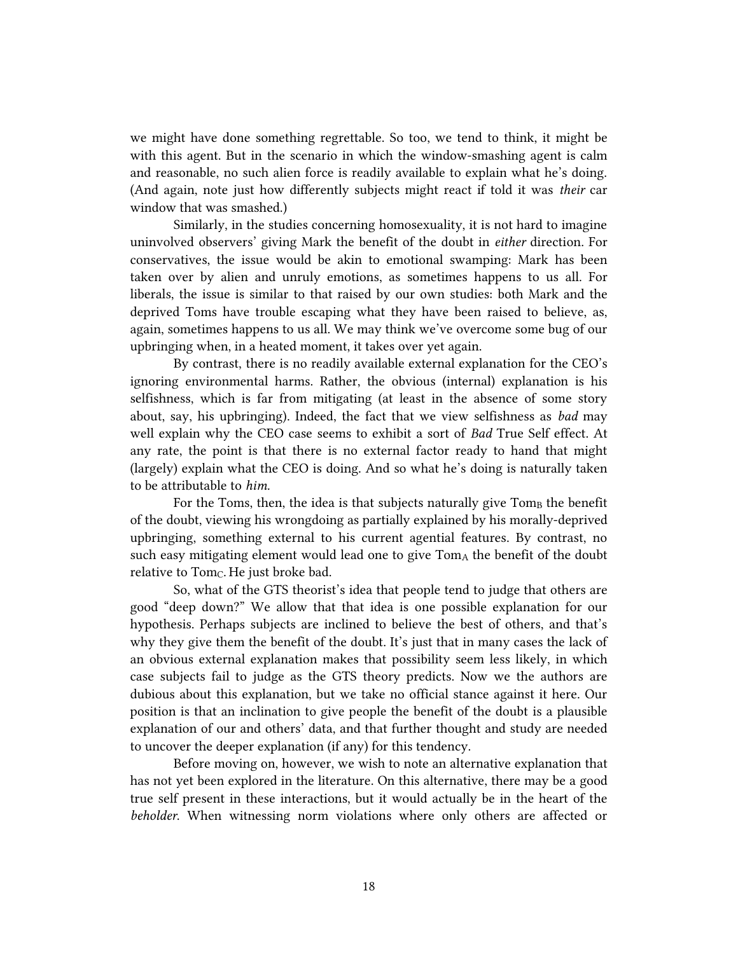we might have done something regrettable. So too, we tend to think, it might be with this agent. But in the scenario in which the window-smashing agent is calm and reasonable, no such alien force is readily available to explain what he's doing. (And again, note just how differently subjects might react if told it was *their* car window that was smashed.)

Similarly, in the studies concerning homosexuality, it is not hard to imagine uninvolved observers' giving Mark the benefit of the doubt in *either* direction. For conservatives, the issue would be akin to emotional swamping: Mark has been taken over by alien and unruly emotions, as sometimes happens to us all. For liberals, the issue is similar to that raised by our own studies: both Mark and the deprived Toms have trouble escaping what they have been raised to believe, as, again, sometimes happens to us all. We may think we've overcome some bug of our upbringing when, in a heated moment, it takes over yet again.

By contrast, there is no readily available external explanation for the CEO's ignoring environmental harms. Rather, the obvious (internal) explanation is his selfishness, which is far from mitigating (at least in the absence of some story about, say, his upbringing). Indeed, the fact that we view selfishness as *bad* may well explain why the CEO case seems to exhibit a sort of *Bad* True Self effect. At any rate, the point is that there is no external factor ready to hand that might (largely) explain what the CEO is doing. And so what he's doing is naturally taken to be attributable to *him.*

For the Toms, then, the idea is that subjects naturally give  $Tom_B$  the benefit of the doubt, viewing his wrongdoing as partially explained by his morally-deprived upbringing, something external to his current agential features. By contrast, no such easy mitigating element would lead one to give TomA the benefit of the doubt relative to Tom<sub>C</sub>. He just broke bad.

So, what of the GTS theorist's idea that people tend to judge that others are good "deep down?" We allow that that idea is one possible explanation for our hypothesis. Perhaps subjects are inclined to believe the best of others, and that's why they give them the benefit of the doubt. It's just that in many cases the lack of an obvious external explanation makes that possibility seem less likely, in which case subjects fail to judge as the GTS theory predicts. Now we the authors are dubious about this explanation, but we take no official stance against it here. Our position is that an inclination to give people the benefit of the doubt is a plausible explanation of our and others' data, and that further thought and study are needed to uncover the deeper explanation (if any) for this tendency.

Before moving on, however, we wish to note an alternative explanation that has not yet been explored in the literature. On this alternative, there may be a good true self present in these interactions, but it would actually be in the heart of the *beholder*. When witnessing norm violations where only others are affected or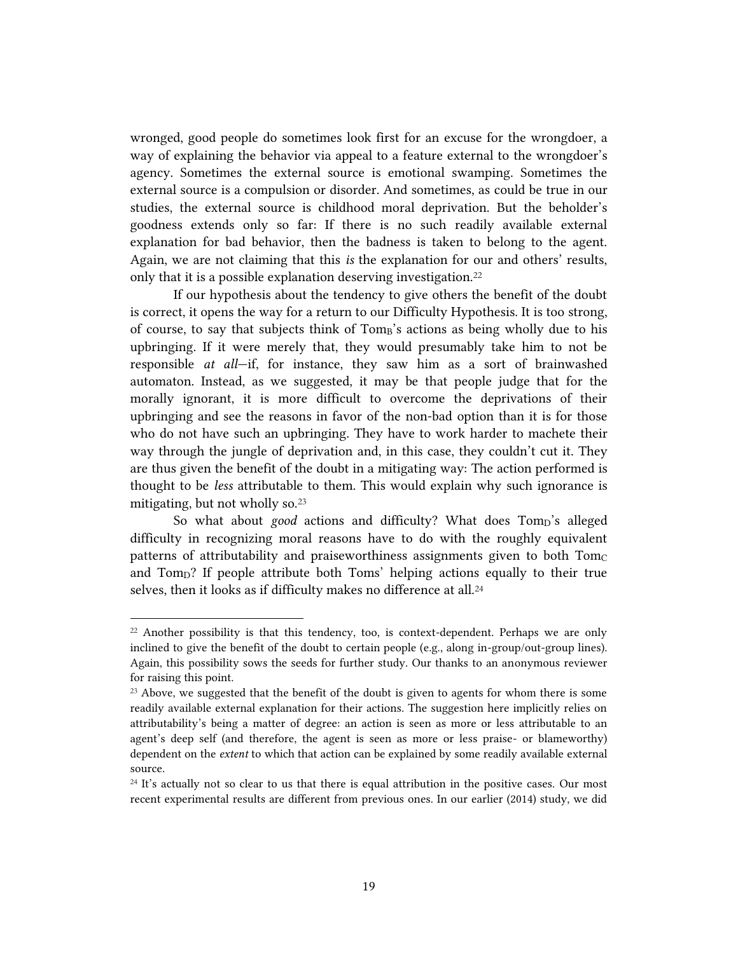wronged, good people do sometimes look first for an excuse for the wrongdoer, a way of explaining the behavior via appeal to a feature external to the wrongdoer's agency. Sometimes the external source is emotional swamping. Sometimes the external source is a compulsion or disorder. And sometimes, as could be true in our studies, the external source is childhood moral deprivation. But the beholder's goodness extends only so far: If there is no such readily available external explanation for bad behavior, then the badness is taken to belong to the agent. Again, we are not claiming that this *is* the explanation for our and others' results, only that it is a possible explanation deserving investigation. 22

If our hypothesis about the tendency to give others the benefit of the doubt is correct, it opens the way for a return to our Difficulty Hypothesis. It is too strong, of course, to say that subjects think of  $Tom<sub>B</sub>$ 's actions as being wholly due to his upbringing. If it were merely that, they would presumably take him to not be responsible *at all*—if, for instance, they saw him as a sort of brainwashed automaton. Instead, as we suggested, it may be that people judge that for the morally ignorant, it is more difficult to overcome the deprivations of their upbringing and see the reasons in favor of the non-bad option than it is for those who do not have such an upbringing. They have to work harder to machete their way through the jungle of deprivation and, in this case, they couldn't cut it. They are thus given the benefit of the doubt in a mitigating way: The action performed is thought to be *less* attributable to them. This would explain why such ignorance is mitigating, but not wholly so.<sup>23</sup>

So what about *good* actions and difficulty? What does Tom<sub>D</sub>'s alleged difficulty in recognizing moral reasons have to do with the roughly equivalent patterns of attributability and praiseworthiness assignments given to both  $T_{\text{om}_C}$ and Tomp? If people attribute both Toms' helping actions equally to their true selves, then it looks as if difficulty makes no difference at all.<sup>24</sup>

 $22$  Another possibility is that this tendency, too, is context-dependent. Perhaps we are only inclined to give the benefit of the doubt to certain people (e.g., along in-group/out-group lines). Again, this possibility sows the seeds for further study. Our thanks to an anonymous reviewer for raising this point.

<sup>&</sup>lt;sup>23</sup> Above, we suggested that the benefit of the doubt is given to agents for whom there is some readily available external explanation for their actions. The suggestion here implicitly relies on attributability's being a matter of degree: an action is seen as more or less attributable to an agent's deep self (and therefore, the agent is seen as more or less praise- or blameworthy) dependent on the *extent* to which that action can be explained by some readily available external source.

<sup>&</sup>lt;sup>24</sup> It's actually not so clear to us that there is equal attribution in the positive cases. Our most recent experimental results are different from previous ones. In our earlier (2014) study, we did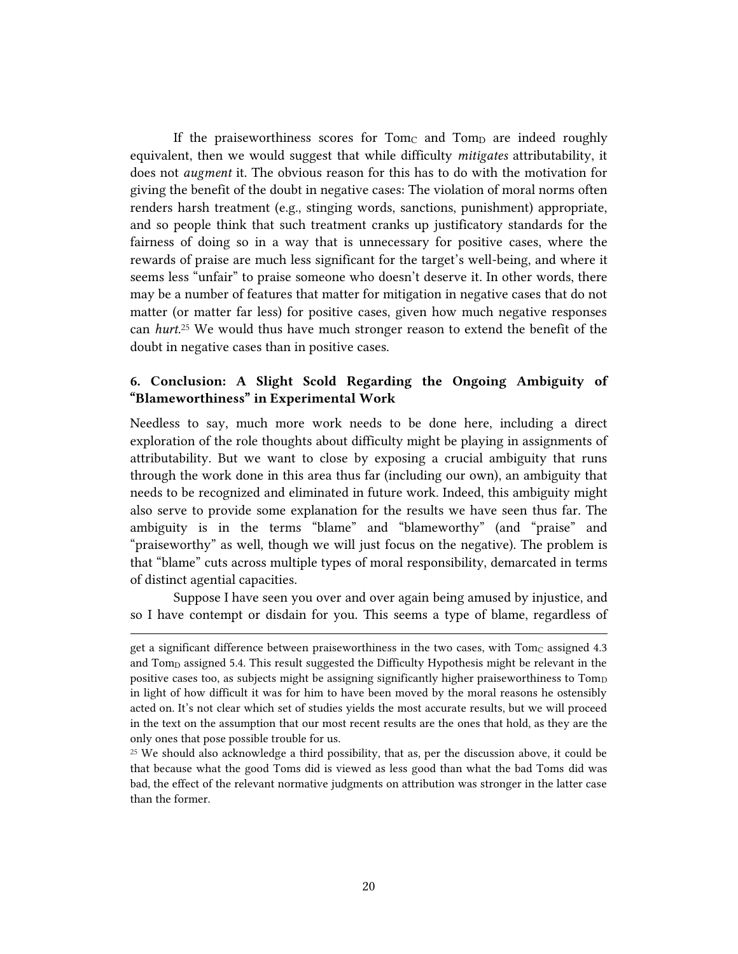If the praiseworthiness scores for  $Tom_C$  and  $Tom_D$  are indeed roughly equivalent, then we would suggest that while difficulty *mitigates* attributability, it does not *augment* it. The obvious reason for this has to do with the motivation for giving the benefit of the doubt in negative cases: The violation of moral norms often renders harsh treatment (e.g., stinging words, sanctions, punishment) appropriate, and so people think that such treatment cranks up justificatory standards for the fairness of doing so in a way that is unnecessary for positive cases, where the rewards of praise are much less significant for the target's well-being, and where it seems less "unfair" to praise someone who doesn't deserve it. In other words, there may be a number of features that matter for mitigation in negative cases that do not matter (or matter far less) for positive cases, given how much negative responses can *hurt*. <sup>25</sup> We would thus have much stronger reason to extend the benefit of the doubt in negative cases than in positive cases.

# **6. Conclusion: A Slight Scold Regarding the Ongoing Ambiguity of "Blameworthiness" in Experimental Work**

Needless to say, much more work needs to be done here, including a direct exploration of the role thoughts about difficulty might be playing in assignments of attributability. But we want to close by exposing a crucial ambiguity that runs through the work done in this area thus far (including our own), an ambiguity that needs to be recognized and eliminated in future work. Indeed, this ambiguity might also serve to provide some explanation for the results we have seen thus far. The ambiguity is in the terms "blame" and "blameworthy" (and "praise" and "praiseworthy" as well, though we will just focus on the negative). The problem is that "blame" cuts across multiple types of moral responsibility, demarcated in terms of distinct agential capacities.

Suppose I have seen you over and over again being amused by injustice, and so I have contempt or disdain for you. This seems a type of blame, regardless of

get a significant difference between praiseworthiness in the two cases, with  $Tom<sub>C</sub>$  assigned 4.3 and Tom<sub>D</sub> assigned 5.4. This result suggested the Difficulty Hypothesis might be relevant in the positive cases too, as subjects might be assigning significantly higher praiseworthiness to  $Tom_D$ in light of how difficult it was for him to have been moved by the moral reasons he ostensibly acted on. It's not clear which set of studies yields the most accurate results, but we will proceed in the text on the assumption that our most recent results are the ones that hold, as they are the only ones that pose possible trouble for us.

<sup>&</sup>lt;sup>25</sup> We should also acknowledge a third possibility, that as, per the discussion above, it could be that because what the good Toms did is viewed as less good than what the bad Toms did was bad, the effect of the relevant normative judgments on attribution was stronger in the latter case than the former.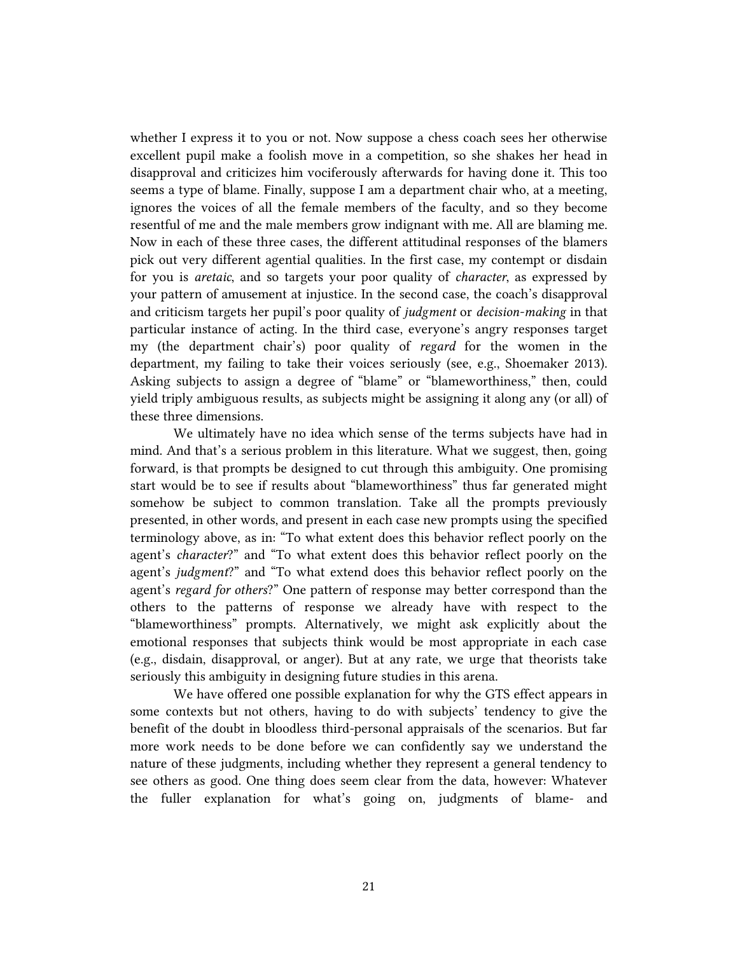whether I express it to you or not. Now suppose a chess coach sees her otherwise excellent pupil make a foolish move in a competition, so she shakes her head in disapproval and criticizes him vociferously afterwards for having done it. This too seems a type of blame. Finally, suppose I am a department chair who, at a meeting, ignores the voices of all the female members of the faculty, and so they become resentful of me and the male members grow indignant with me. All are blaming me. Now in each of these three cases, the different attitudinal responses of the blamers pick out very different agential qualities. In the first case, my contempt or disdain for you is *aretaic*, and so targets your poor quality of *character*, as expressed by your pattern of amusement at injustice. In the second case, the coach's disapproval and criticism targets her pupil's poor quality of *judgment* or *decision-making* in that particular instance of acting. In the third case, everyone's angry responses target my (the department chair's) poor quality of *regard* for the women in the department, my failing to take their voices seriously (see, e.g., Shoemaker 2013). Asking subjects to assign a degree of "blame" or "blameworthiness," then, could yield triply ambiguous results, as subjects might be assigning it along any (or all) of these three dimensions.

We ultimately have no idea which sense of the terms subjects have had in mind. And that's a serious problem in this literature. What we suggest, then, going forward, is that prompts be designed to cut through this ambiguity. One promising start would be to see if results about "blameworthiness" thus far generated might somehow be subject to common translation. Take all the prompts previously presented, in other words, and present in each case new prompts using the specified terminology above, as in: "To what extent does this behavior reflect poorly on the agent's *character*?" and "To what extent does this behavior reflect poorly on the agent's *judgment*?" and "To what extend does this behavior reflect poorly on the agent's *regard for others*?" One pattern of response may better correspond than the others to the patterns of response we already have with respect to the "blameworthiness" prompts. Alternatively, we might ask explicitly about the emotional responses that subjects think would be most appropriate in each case (e.g., disdain, disapproval, or anger). But at any rate, we urge that theorists take seriously this ambiguity in designing future studies in this arena.

We have offered one possible explanation for why the GTS effect appears in some contexts but not others, having to do with subjects' tendency to give the benefit of the doubt in bloodless third-personal appraisals of the scenarios. But far more work needs to be done before we can confidently say we understand the nature of these judgments, including whether they represent a general tendency to see others as good. One thing does seem clear from the data, however: Whatever the fuller explanation for what's going on, judgments of blame- and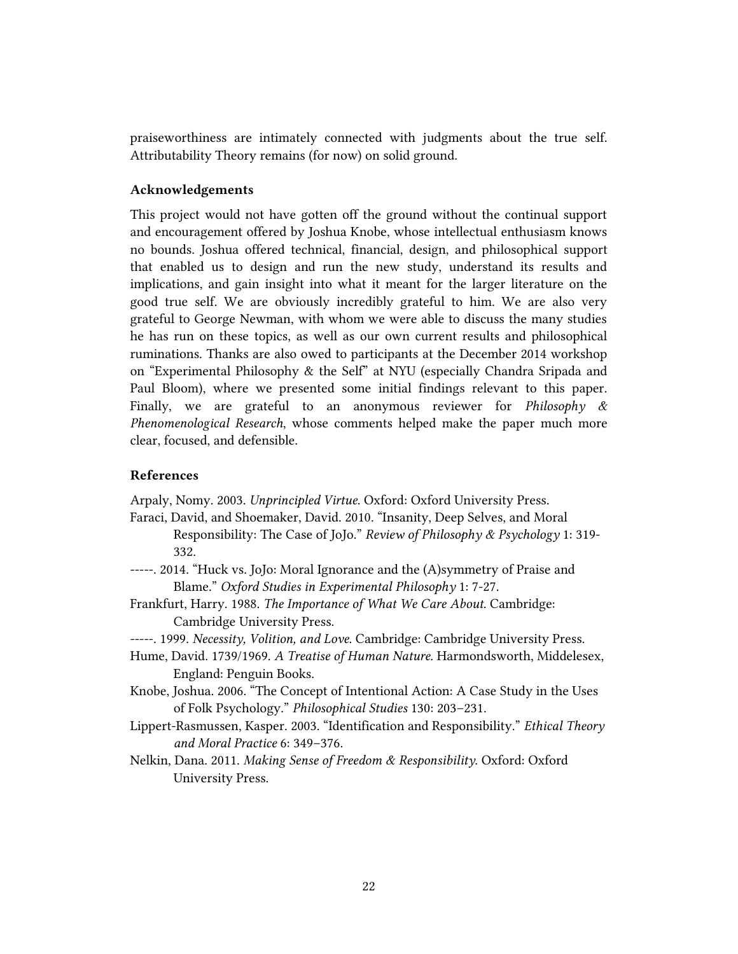praiseworthiness are intimately connected with judgments about the true self. Attributability Theory remains (for now) on solid ground.

### **Acknowledgements**

This project would not have gotten off the ground without the continual support and encouragement offered by Joshua Knobe, whose intellectual enthusiasm knows no bounds. Joshua offered technical, financial, design, and philosophical support that enabled us to design and run the new study, understand its results and implications, and gain insight into what it meant for the larger literature on the good true self. We are obviously incredibly grateful to him. We are also very grateful to George Newman, with whom we were able to discuss the many studies he has run on these topics, as well as our own current results and philosophical ruminations. Thanks are also owed to participants at the December 2014 workshop on "Experimental Philosophy & the Self" at NYU (especially Chandra Sripada and Paul Bloom), where we presented some initial findings relevant to this paper. Finally, we are grateful to an anonymous reviewer for *Philosophy & Phenomenological Research*, whose comments helped make the paper much more clear, focused, and defensible.

### **References**

Arpaly, Nomy. 2003. *Unprincipled Virtue*. Oxford: Oxford University Press.

- Faraci, David, and Shoemaker, David. 2010. "Insanity, Deep Selves, and Moral Responsibility: The Case of JoJo." *Review of Philosophy & Psychology* 1: 319- 332.
- -----. 2014. "Huck vs. JoJo: Moral Ignorance and the (A)symmetry of Praise and Blame." *Oxford Studies in Experimental Philosophy* 1: 7-27.
- Frankfurt, Harry. 1988. *The Importance of What We Care About*. Cambridge: Cambridge University Press.

-----. 1999. *Necessity, Volition, and Love*. Cambridge: Cambridge University Press.

- Hume, David. 1739/1969. *A Treatise of Human Nature*. Harmondsworth, Middelesex, England: Penguin Books.
- Knobe, Joshua. 2006. "The Concept of Intentional Action: A Case Study in the Uses of Folk Psychology." *Philosophical Studies* 130: 203–231.
- Lippert-Rasmussen, Kasper. 2003. "Identification and Responsibility." *Ethical Theory and Moral Practice* 6: 349–376.
- Nelkin, Dana. 2011. *Making Sense of Freedom & Responsibility*. Oxford: Oxford University Press.